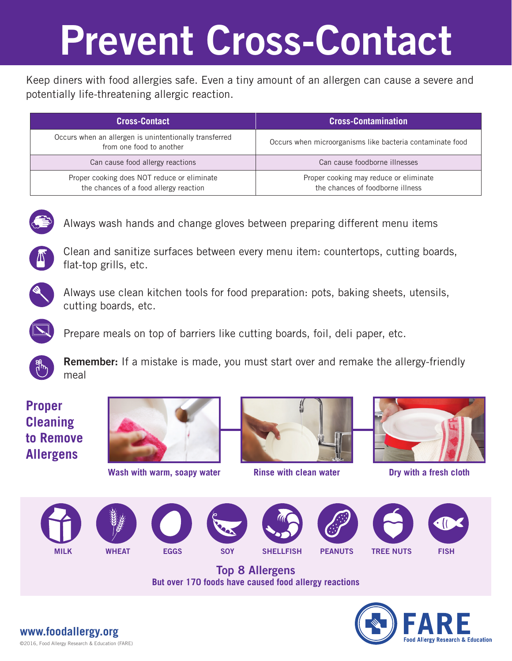## Prevent Cross-Contact

Keep diners with food allergies safe. Even a tiny amount of an allergen can cause a severe and potentially life-threatening allergic reaction.

| <b>Cross-Contact</b>                                                                  | <b>Cross-Contamination</b>                                                 |
|---------------------------------------------------------------------------------------|----------------------------------------------------------------------------|
| Occurs when an allergen is unintentionally transferred<br>from one food to another    | Occurs when microorganisms like bacteria contaminate food                  |
| Can cause food allergy reactions                                                      | Can cause foodborne illnesses                                              |
| Proper cooking does NOT reduce or eliminate<br>the chances of a food allergy reaction | Proper cooking may reduce or eliminate<br>the chances of foodborne illness |



Always wash hands and change gloves between preparing different menu items



Clean and sanitize surfaces between every menu item: countertops, cutting boards, flat-top grills, etc.



Always use clean kitchen tools for food preparation: pots, baking sheets, utensils, cutting boards, etc.



Prepare meals on top of barriers like cutting boards, foil, deli paper, etc.



Remember: If a mistake is made, you must start over and remake the allergy-friendly meal

### **Proper Cleaning to Remove Allergens**



**Wash with warm, soapy water Rinse with clean water Dry with a fresh cloth**





















Top 8 Allergens **But over 170 foods have caused food allergy reactions**



©2016, Food Allergy Research & Education (FARE) **www.foodallergy.org**